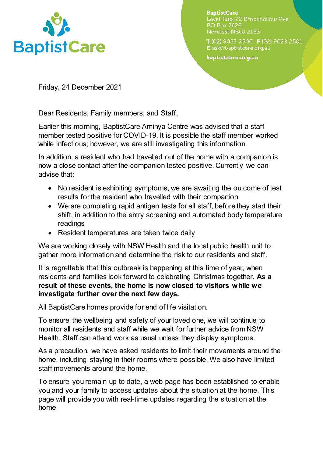

**BaptistCare** Level Two, 22 Brookhollow Ave **PO Box 7626** Norwest NSW 2153

T (02) 9023 2500 F (02) 9023 2501 E ask@baptistcare.org.au

baptistcare.org.au

Friday, 24 December 2021

Dear Residents, Family members, and Staff,

Earlier this morning, BaptistCare Aminya Centre was advised that a staff member tested positive for COVID-19. It is possible the staff member worked while infectious; however, we are still investigating this information.

In addition, a resident who had travelled out of the home with a companion is now a close contact after the companion tested positive. Currently we can advise that:

- No resident is exhibiting symptoms, we are awaiting the outcome of test results for the resident who travelled with their companion
- We are completing rapid antigen tests for all staff, before they start their shift, in addition to the entry screening and automated body temperature readings
- Resident temperatures are taken twice daily

We are working closely with NSW Health and the local public health unit to gather more information and determine the risk to our residents and staff.

It is regrettable that this outbreak is happening at this time of year, when residents and families look forward to celebrating Christmas together. **As a result of these events, the home is now closed to visitors while we investigate further over the next few days.**

All BaptistCare homes provide for end of life visitation.

To ensure the wellbeing and safety of your loved one, we will continue to monitor all residents and staff while we wait for further advice from NSW Health. Staff can attend work as usual unless they display symptoms.

As a precaution, we have asked residents to limit their movements around the home, including staying in their rooms where possible. We also have limited staff movements around the home.

To ensure you remain up to date, a web page has been established to enable you and your family to access updates about the situation at the home. This page will provide you with real-time updates regarding the situation at the home.